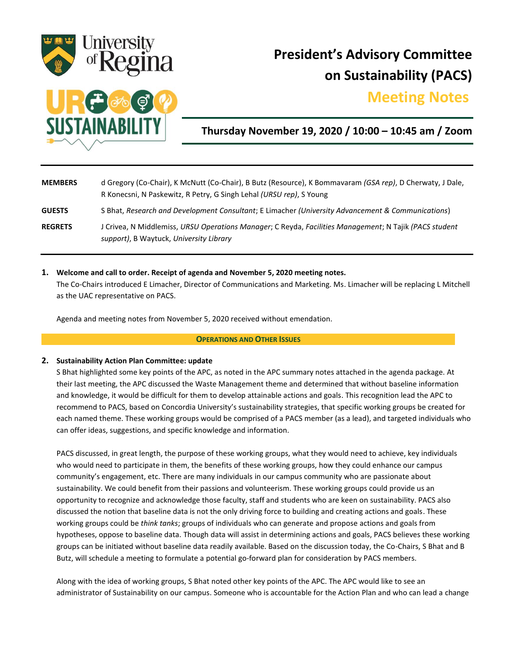

# **President's Advisory Committee on Sustainability (PACS)**

# **Meeting Notes.**



**Thursday November 19, 2020 / 10:00 – 10:45 am / Zoom**

| <b>MEMBERS</b> | d Gregory (Co-Chair), K McNutt (Co-Chair), B Butz (Resource), K Bommavaram <i>(GSA rep)</i> , D Cherwaty, J Dale,<br>R Konecsni, N Paskewitz, R Petry, G Singh Lehal (URSU rep), S Young |
|----------------|------------------------------------------------------------------------------------------------------------------------------------------------------------------------------------------|
| <b>GUESTS</b>  | S Bhat, Research and Development Consultant; E Limacher (University Advancement & Communications)                                                                                        |
| <b>REGRETS</b> | J Crivea, N Middlemiss, URSU Operations Manager; C Reyda, Facilities Management; N Tajik (PACS student<br>support), B Waytuck, University Library                                        |

**1. Welcome and call to order. Receipt of agenda and November 5, 2020 meeting notes.** 

The Co-Chairs introduced E Limacher, Director of Communications and Marketing. Ms. Limacher will be replacing L Mitchell as the UAC representative on PACS.

Agenda and meeting notes from November 5, 2020 received without emendation.

#### **OPERATIONS AND OTHER ISSUES**

## **2. Sustainability Action Plan Committee: update**

S Bhat highlighted some key points of the APC, as noted in the APC summary notes attached in the agenda package. At their last meeting, the APC discussed the Waste Management theme and determined that without baseline information and knowledge, it would be difficult for them to develop attainable actions and goals. This recognition lead the APC to recommend to PACS, based on Concordia University's sustainability strategies, that specific working groups be created for each named theme. These working groups would be comprised of a PACS member (as a lead), and targeted individuals who can offer ideas, suggestions, and specific knowledge and information.

PACS discussed, in great length, the purpose of these working groups, what they would need to achieve, key individuals who would need to participate in them, the benefits of these working groups, how they could enhance our campus community's engagement, etc. There are many individuals in our campus community who are passionate about sustainability. We could benefit from their passions and volunteerism. These working groups could provide us an opportunity to recognize and acknowledge those faculty, staff and students who are keen on sustainability. PACS also discussed the notion that baseline data is not the only driving force to building and creating actions and goals. These working groups could be *think tanks*; groups of individuals who can generate and propose actions and goals from hypotheses, oppose to baseline data. Though data will assist in determining actions and goals, PACS believes these working groups can be initiated without baseline data readily available. Based on the discussion today, the Co-Chairs, S Bhat and B Butz, will schedule a meeting to formulate a potential go-forward plan for consideration by PACS members.

Along with the idea of working groups, S Bhat noted other key points of the APC. The APC would like to see an administrator of Sustainability on our campus. Someone who is accountable for the Action Plan and who can lead a change